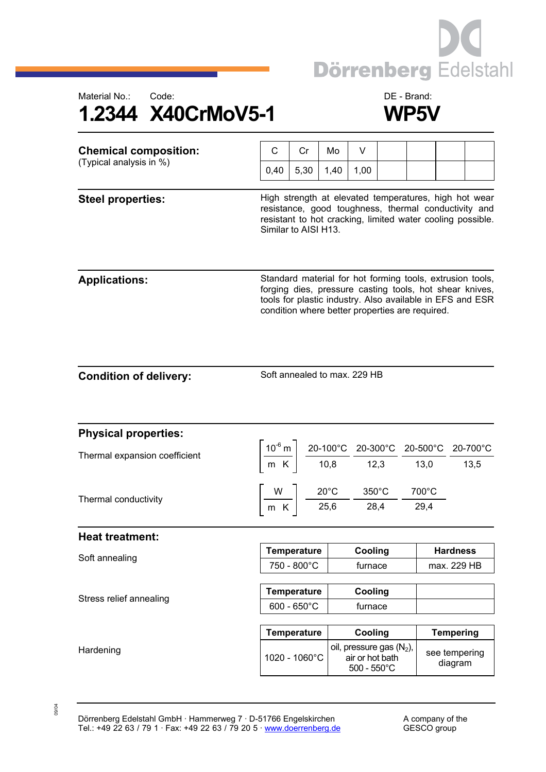





| <b>Chemical composition:</b><br>(Typical analysis in %) | C                                                                                                                                                                                                                                    | Cr                 | Mo   | V                                                                                                                                                                                                   |                 |               |                          |  |
|---------------------------------------------------------|--------------------------------------------------------------------------------------------------------------------------------------------------------------------------------------------------------------------------------------|--------------------|------|-----------------------------------------------------------------------------------------------------------------------------------------------------------------------------------------------------|-----------------|---------------|--------------------------|--|
|                                                         | 0,40                                                                                                                                                                                                                                 | 5,30               | 1,40 | 1,00                                                                                                                                                                                                |                 |               |                          |  |
| <b>Steel properties:</b>                                | High strength at elevated temperatures, high hot wear<br>resistance, good toughness, thermal conductivity and<br>resistant to hot cracking, limited water cooling possible.<br>Similar to AISI H13.                                  |                    |      |                                                                                                                                                                                                     |                 |               |                          |  |
| <b>Applications:</b>                                    | Standard material for hot forming tools, extrusion tools,<br>forging dies, pressure casting tools, hot shear knives,<br>tools for plastic industry. Also available in EFS and ESR<br>condition where better properties are required. |                    |      |                                                                                                                                                                                                     |                 |               |                          |  |
| <b>Condition of delivery:</b>                           | Soft annealed to max. 229 HB                                                                                                                                                                                                         |                    |      |                                                                                                                                                                                                     |                 |               |                          |  |
| <b>Physical properties:</b>                             |                                                                                                                                                                                                                                      |                    |      |                                                                                                                                                                                                     |                 |               |                          |  |
| Thermal expansion coefficient                           |                                                                                                                                                                                                                                      |                    |      | $\left[\frac{10^{-6} \text{ m}}{\text{m K}}\right] \frac{20-100^{\circ}\text{C}}{10,8} \frac{20-300^{\circ}\text{C}}{12,3} \frac{20-500^{\circ}\text{C}}{13,0} \frac{20-700^{\circ}\text{C}}{13,5}$ |                 |               |                          |  |
| Thermal conductivity                                    | $\begin{array}{c c} \n\hline\nW & 20^{\circ}\text{C} \\ \hline\nm \text{K} & 25.6\n\end{array}$                                                                                                                                      |                    |      | $\frac{1}{28,4}$                                                                                                                                                                                    | $350^{\circ}$ C | 700°C<br>29,4 |                          |  |
| <b>Heat treatment:</b>                                  |                                                                                                                                                                                                                                      |                    |      |                                                                                                                                                                                                     |                 |               |                          |  |
| Soft annealing                                          |                                                                                                                                                                                                                                      | <b>Temperature</b> |      | Cooling                                                                                                                                                                                             |                 |               | <b>Hardness</b>          |  |
|                                                         | 750 - 800°C                                                                                                                                                                                                                          |                    |      | furnace                                                                                                                                                                                             |                 |               | max. 229 HB              |  |
| Stress relief annealing                                 | <b>Temperature</b>                                                                                                                                                                                                                   |                    |      | Cooling                                                                                                                                                                                             |                 |               |                          |  |
|                                                         | $600 - 650^{\circ}C$                                                                                                                                                                                                                 |                    |      | furnace                                                                                                                                                                                             |                 |               |                          |  |
|                                                         | <b>Temperature</b>                                                                                                                                                                                                                   |                    |      | Cooling                                                                                                                                                                                             |                 |               | <b>Tempering</b>         |  |
| Hardening                                               |                                                                                                                                                                                                                                      | 1020 - 1060°C      |      | oil, pressure gas $(N_2)$ ,<br>air or hot bath<br>$500 - 550^{\circ}$ C                                                                                                                             |                 |               | see tempering<br>diagram |  |